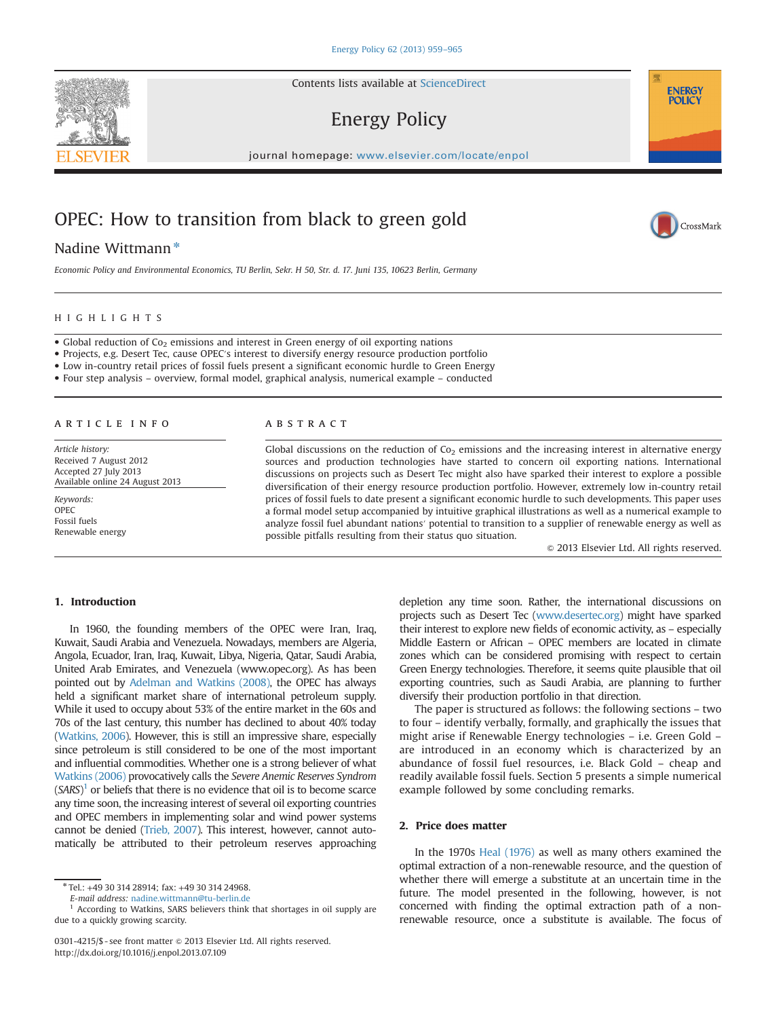Contents lists available at [ScienceDirect](www.sciencedirect.com/science/journal/03014215)

# Energy Policy

journal homepage: <www.elsevier.com/locate/enpol>

# OPEC: How to transition from black to green gold

# Nadine Wittmann $*$

Economic Policy and Environmental Economics, TU Berlin, Sekr. H 50, Str. d. 17. Juni 135, 10623 Berlin, Germany

## HIGHLIGHTS

• Global reduction of  $Co<sub>2</sub>$  emissions and interest in Green energy of oil exporting nations

Projects, e.g. Desert Tec, cause OPEC′s interest to diversify energy resource production portfolio

Low in-country retail prices of fossil fuels present a significant economic hurdle to Green Energy

Four step analysis – overview, formal model, graphical analysis, numerical example – conducted

#### article info

Article history: Received 7 August 2012 Accepted 27 July 2013 Available online 24 August 2013

Keywords: OPEC Fossil fuels Renewable energy

# **ABSTRACT**

Global discussions on the reduction of  $Co<sub>2</sub>$  emissions and the increasing interest in alternative energy sources and production technologies have started to concern oil exporting nations. International discussions on projects such as Desert Tec might also have sparked their interest to explore a possible diversification of their energy resource production portfolio. However, extremely low in-country retail prices of fossil fuels to date present a significant economic hurdle to such developments. This paper uses a formal model setup accompanied by intuitive graphical illustrations as well as a numerical example to analyze fossil fuel abundant nations′ potential to transition to a supplier of renewable energy as well as possible pitfalls resulting from their status quo situation.

 $©$  2013 Elsevier Ltd. All rights reserved.

## 1. Introduction

In 1960, the founding members of the OPEC were Iran, Iraq, Kuwait, Saudi Arabia and Venezuela. Nowadays, members are Algeria, Angola, Ecuador, Iran, Iraq, Kuwait, Libya, Nigeria, Qatar, Saudi Arabia, United Arab Emirates, and Venezuela (www.opec.org). As has been pointed out by [Adelman and Watkins \(2008\)](#page--1-0), the OPEC has always held a significant market share of international petroleum supply. While it used to occupy about 53% of the entire market in the 60s and 70s of the last century, this number has declined to about 40% today [\(Watkins, 2006\)](#page--1-0). However, this is still an impressive share, especially since petroleum is still considered to be one of the most important and influential commodities. Whether one is a strong believer of what [Watkins \(2006\)](#page--1-0) provocatively calls the Severe Anemic Reserves Syndrom  $(SARS)^1$  or beliefs that there is no evidence that oil is to become scarce any time soon, the increasing interest of several oil exporting countries and OPEC members in implementing solar and wind power systems cannot be denied [\(Trieb, 2007\)](#page--1-0). This interest, however, cannot automatically be attributed to their petroleum reserves approaching

E-mail address: [nadine.wittmann@tu-berlin.de](mailto:nadine.wittmann@tu-berlin.de)

depletion any time soon. Rather, the international discussions on projects such as Desert Tec [\(www.desertec.org](www.desertec.org)) might have sparked their interest to explore new fields of economic activity, as – especially Middle Eastern or African – OPEC members are located in climate zones which can be considered promising with respect to certain Green Energy technologies. Therefore, it seems quite plausible that oil exporting countries, such as Saudi Arabia, are planning to further diversify their production portfolio in that direction.

The paper is structured as follows: the following sections – two to four – identify verbally, formally, and graphically the issues that might arise if Renewable Energy technologies – i.e. Green Gold – are introduced in an economy which is characterized by an abundance of fossil fuel resources, i.e. Black Gold – cheap and readily available fossil fuels. Section 5 presents a simple numerical example followed by some concluding remarks.

## 2. Price does matter

In the 1970s [Heal \(1976\)](#page--1-0) as well as many others examined the optimal extraction of a non-renewable resource, and the question of whether there will emerge a substitute at an uncertain time in the future. The model presented in the following, however, is not concerned with finding the optimal extraction path of a nonrenewable resource, once a substitute is available. The focus of





**ENERGY POLIC** 

<sup>\*</sup>Tel.: +49 30 314 28914; fax: +49 30 314 24968.

<sup>&</sup>lt;sup>1</sup> According to Watkins, SARS believers think that shortages in oil supply are due to a quickly growing scarcity.

<sup>0301-4215/\$ -</sup> see front matter @ 2013 Elsevier Ltd. All rights reserved. <http://dx.doi.org/10.1016/j.enpol.2013.07.109>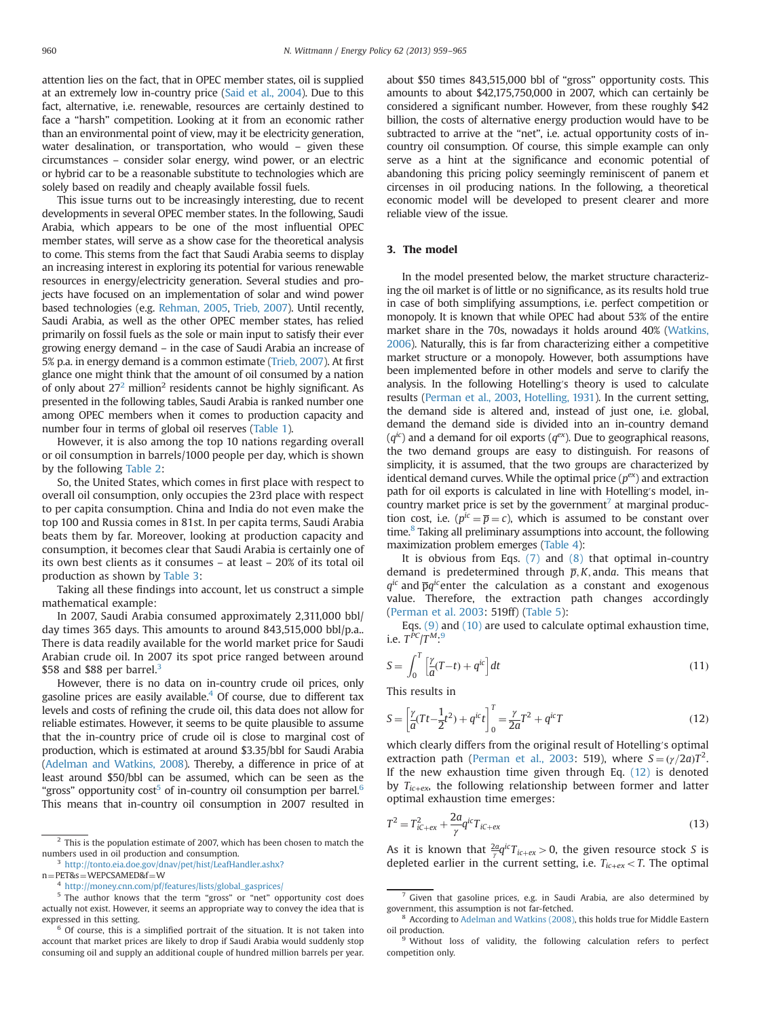attention lies on the fact, that in OPEC member states, oil is supplied at an extremely low in-country price ([Said et al., 2004](#page--1-0)). Due to this fact, alternative, i.e. renewable, resources are certainly destined to face a "harsh" competition. Looking at it from an economic rather than an environmental point of view, may it be electricity generation, water desalination, or transportation, who would – given these circumstances – consider solar energy, wind power, or an electric or hybrid car to be a reasonable substitute to technologies which are solely based on readily and cheaply available fossil fuels.

This issue turns out to be increasingly interesting, due to recent developments in several OPEC member states. In the following, Saudi Arabia, which appears to be one of the most influential OPEC member states, will serve as a show case for the theoretical analysis to come. This stems from the fact that Saudi Arabia seems to display an increasing interest in exploring its potential for various renewable resources in energy/electricity generation. Several studies and projects have focused on an implementation of solar and wind power based technologies (e.g. [Rehman, 2005](#page--1-0), [Trieb, 2007](#page--1-0)). Until recently, Saudi Arabia, as well as the other OPEC member states, has relied primarily on fossil fuels as the sole or main input to satisfy their ever growing energy demand – in the case of Saudi Arabia an increase of 5% p.a. in energy demand is a common estimate ([Trieb, 2007](#page--1-0)). At first glance one might think that the amount of oil consumed by a nation of only about  $27<sup>2</sup>$  million<sup>2</sup> residents cannot be highly significant. As presented in the following tables, Saudi Arabia is ranked number one among OPEC members when it comes to production capacity and number four in terms of global oil reserves ([Table 1](#page--1-0)).

However, it is also among the top 10 nations regarding overall or oil consumption in barrels/1000 people per day, which is shown by the following [Table 2:](#page--1-0)

So, the United States, which comes in first place with respect to overall oil consumption, only occupies the 23rd place with respect to per capita consumption. China and India do not even make the top 100 and Russia comes in 81st. In per capita terms, Saudi Arabia beats them by far. Moreover, looking at production capacity and consumption, it becomes clear that Saudi Arabia is certainly one of its own best clients as it consumes – at least – 20% of its total oil production as shown by [Table 3](#page--1-0):

Taking all these findings into account, let us construct a simple mathematical example:

In 2007, Saudi Arabia consumed approximately 2,311,000 bbl/ day times 365 days. This amounts to around 843,515,000 bbl/p.a.. There is data readily available for the world market price for Saudi Arabian crude oil. In 2007 its spot price ranged between around \$58 and \$88 per barrel. $3$ 

However, there is no data on in-country crude oil prices, only gasoline prices are easily available.<sup>4</sup> Of course, due to different tax levels and costs of refining the crude oil, this data does not allow for reliable estimates. However, it seems to be quite plausible to assume that the in-country price of crude oil is close to marginal cost of production, which is estimated at around \$3.35/bbl for Saudi Arabia ([Adelman and Watkins, 2008](#page--1-0)). Thereby, a difference in price of at least around \$50/bbl can be assumed, which can be seen as the "gross" opportunity cost<sup>5</sup> of in-country oil consumption per barrel.<sup>6</sup> This means that in-country oil consumption in 2007 resulted in about \$50 times 843,515,000 bbl of "gross" opportunity costs. This amounts to about \$42,175,750,000 in 2007, which can certainly be considered a significant number. However, from these roughly \$42 billion, the costs of alternative energy production would have to be subtracted to arrive at the "net", i.e. actual opportunity costs of incountry oil consumption. Of course, this simple example can only serve as a hint at the significance and economic potential of abandoning this pricing policy seemingly reminiscent of panem et circenses in oil producing nations. In the following, a theoretical economic model will be developed to present clearer and more reliable view of the issue.

#### 3. The model

In the model presented below, the market structure characterizing the oil market is of little or no significance, as its results hold true in case of both simplifying assumptions, i.e. perfect competition or monopoly. It is known that while OPEC had about 53% of the entire market share in the 70s, nowadays it holds around 40% [\(Watkins,](#page--1-0) [2006](#page--1-0)). Naturally, this is far from characterizing either a competitive market structure or a monopoly. However, both assumptions have been implemented before in other models and serve to clarify the analysis. In the following Hotelling′s theory is used to calculate results ([Perman et al., 2003](#page--1-0), [Hotelling, 1931\)](#page--1-0). In the current setting, the demand side is altered and, instead of just one, i.e. global, demand the demand side is divided into an in-country demand  $(q^{ic})$  and a demand for oil exports  $(q^{ex})$ . Due to geographical reasons, the two demand groups are easy to distinguish. For reasons of simplicity, it is assumed, that the two groups are characterized by identical demand curves. While the optimal price  $(p^{ex})$  and extraction path for oil exports is calculated in line with Hotelling′s model, incountry market price is set by the government<sup>7</sup> at marginal production cost, i.e.  $(p^{ic} = \overline{p} = c)$ , which is assumed to be constant over time.<sup>8</sup> Taking all preliminary assumptions into account, the following maximization problem emerges ([Table 4\)](#page--1-0):

It is obvious from Eqs.  $(7)$  and  $(8)$  that optimal in-country demand is predetermined through  $\bar{p}$ , K, anda. This means that  $q^{ic}$  and  $\overline{p}q^{ic}$  enter the calculation as a constant and exogenous value. Therefore, the extraction path changes accordingly ([Perman et al. 2003](#page--1-0): 519ff) [\(Table 5\)](#page--1-0):

Eqs. [\(9\)](#page--1-0) and [\(10\)](#page--1-0) are used to calculate optimal exhaustion time, i.e.  $T^{PC}/T^{M.9}$ 

$$
S = \int_0^T \left[ \frac{\gamma}{a} (T - t) + q^{ic} \right] dt \tag{11}
$$

This results in

$$
S = \left[\frac{\gamma}{a}(Tt - \frac{1}{2}t^2) + q^{ic}t\right]_0^T = \frac{\gamma}{2a}T^2 + q^{ic}T\tag{12}
$$

which clearly differs from the original result of Hotelling′s optimal extraction path ([Perman et al., 2003:](#page--1-0) 519), where  $S = (\gamma/2a)T^2$ . If the new exhaustion time given through Eq. (12) is denoted by  $T_{ic+ex}$ , the following relationship between former and latter optimal exhaustion time emerges:

$$
T^{2} = T_{iC+ex}^{2} + \frac{2a}{\gamma} q^{ic} T_{iC+ex}
$$
\n(13)

As it is known that  $\frac{2a}{\gamma}q^{ic}T_{ic+ex} > 0$ , the given resource stock S is depleted earlier in the current setting, i.e.  $T_{ic+ex}$  < T. The optimal

 $2$  This is the population estimate of 2007, which has been chosen to match the numbers used in oil production and consumption.

<sup>3</sup> <http://tonto.eia.doe.gov/dnav/pet/hist/LeafHandler.ashx?>

 $n = PET\&s = WEPCSAMED\&f = W$ <br>
4 [http://money.cnn.com/pf/features/lists/global\\_gasprices/](http://money.cnn.com/pf/features/lists/global_gasprices/)

<sup>&</sup>lt;sup>5</sup> The author knows that the term "gross" or "net" opportunity cost does actually not exist. However, it seems an appropriate way to convey the idea that is expressed in this setting.

 $6$  Of course, this is a simplified portrait of the situation. It is not taken into account that market prices are likely to drop if Saudi Arabia would suddenly stop consuming oil and supply an additional couple of hundred million barrels per year.

 $7$  Given that gasoline prices, e.g. in Saudi Arabia, are also determined by government, this assumption is not far-fetched.

<sup>8</sup> According to [Adelman and Watkins \(2008\)](#page--1-0), this holds true for Middle Eastern oil production.

<sup>9</sup> Without loss of validity, the following calculation refers to perfect competition only.